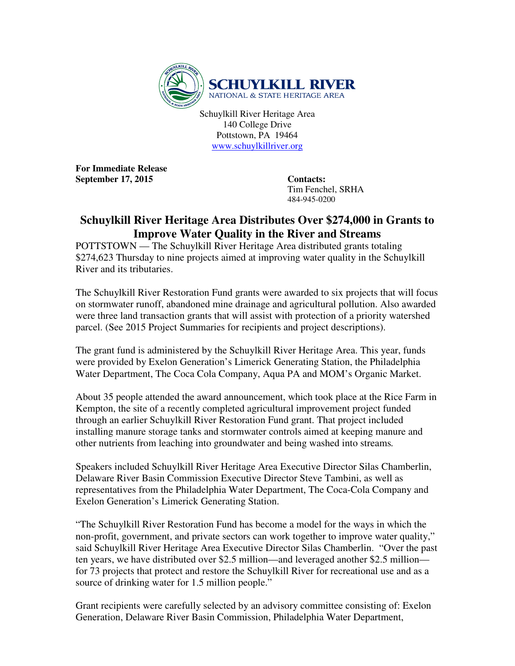

Schuylkill River Heritage Area 140 College Drive Pottstown, PA 19464 www.schuylkillriver.org

**For Immediate Release**  September 17, 2015 Contacts:

 Tim Fenchel, SRHA 484-945-0200

## **Schuylkill River Heritage Area Distributes Over \$274,000 in Grants to Improve Water Quality in the River and Streams**

POTTSTOWN — The Schuylkill River Heritage Area distributed grants totaling \$274,623 Thursday to nine projects aimed at improving water quality in the Schuylkill River and its tributaries.

The Schuylkill River Restoration Fund grants were awarded to six projects that will focus on stormwater runoff, abandoned mine drainage and agricultural pollution. Also awarded were three land transaction grants that will assist with protection of a priority watershed parcel. (See 2015 Project Summaries for recipients and project descriptions).

The grant fund is administered by the Schuylkill River Heritage Area. This year, funds were provided by Exelon Generation's Limerick Generating Station, the Philadelphia Water Department, The Coca Cola Company, Aqua PA and MOM's Organic Market.

About 35 people attended the award announcement, which took place at the Rice Farm in Kempton, the site of a recently completed agricultural improvement project funded through an earlier Schuylkill River Restoration Fund grant. That project included installing manure storage tanks and stormwater controls aimed at keeping manure and other nutrients from leaching into groundwater and being washed into streams*.* 

Speakers included Schuylkill River Heritage Area Executive Director Silas Chamberlin, Delaware River Basin Commission Executive Director Steve Tambini, as well as representatives from the Philadelphia Water Department, The Coca-Cola Company and Exelon Generation's Limerick Generating Station.

"The Schuylkill River Restoration Fund has become a model for the ways in which the non-profit, government, and private sectors can work together to improve water quality," said Schuylkill River Heritage Area Executive Director Silas Chamberlin. "Over the past ten years, we have distributed over \$2.5 million—and leveraged another \$2.5 million for 73 projects that protect and restore the Schuylkill River for recreational use and as a source of drinking water for 1.5 million people."

Grant recipients were carefully selected by an advisory committee consisting of: Exelon Generation, Delaware River Basin Commission, Philadelphia Water Department,